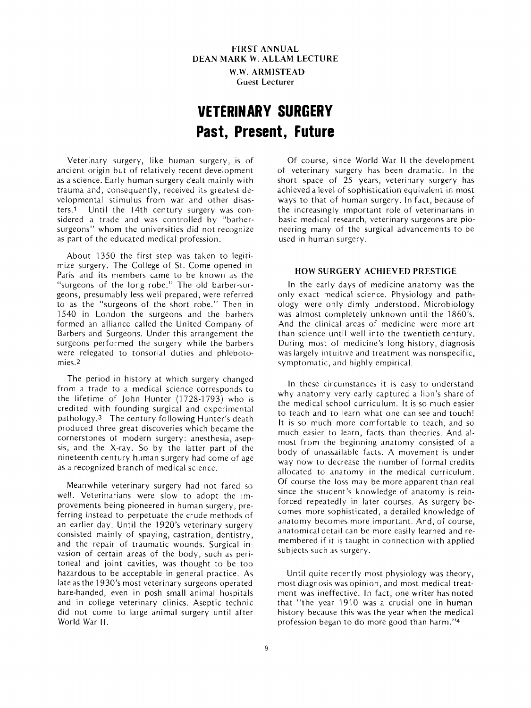**FIRST ANNUAL DEAN MARK W. ALLAM LECTURE W.W. ARMISTEAD**  Cuest Lecturer

# **VETERINARY SURGERY Past, Present, Future**

Veterinary surgery, like human surgery, i5 of ancient origin but of relatively recent development as a science. Early human surgery dealt mainly with trauma and, consequently, received its greatest developmental stimulus from war and other disasters.' Until the 14th century surgery was considered a trade and was controlled by "barbersurgeons" whom the universities did not recognize as part of the educated medical profession.

About 1350 the first step was taken to legitimize surgery. The College of St. Come opened in Paris and its members came to be known as the "surgeons of the long robe." The old barber-surgeons, presumably less well prepared, were referred to as the "surgeons of the short robe." Then in 1540 in London the surgeons and the barbers formed an alliance called the United Company of Barbers and Surgeons. Under this arrangement the surgeons performed the surgery while the barbers were relegated to tonsorial duties and phlebotomies.2

The period in history at which surgery changed from a trade to a medical science corresponds to the lifetime of John Hunter (1728-1793) who **is**  credited with founding surgical and experimental pathology.3 The century following Hunter's death produced three great discoveries which became the cornerstones of modern surgery: anesthesia, asepsis, and the X-ray. So by the latter part of the nineteenth century human surgery had come of age as a recognized branch of medical science.

Meanwhile veterinary surgery had not fared so well. Veterinarians were slow *to* adopt the improvements being pioneered in human surgery, preferring instead to perpetuate the crude methods of an earlier day. Until the 1920's veterinary surgery consisted mainly of spaying, castration, dentistry, and the repair of traumatic wounds. Surgical invasion of certain areas of the body, such as peritoneal and joint cavities, was thought to be too hazardous to be acceptable in general practice. As late as the 1930's most veterinary surgeons operated bare-handed, even in posh small animal hospitals and in college veterinary clinics. Aseptic technic did not come to large animal surgery until after World War II.

Of course, since World War II the development of veterinary surgery has been dramatic. In the short space of 25 years, veterinary surgery has achieved a level of sophistication equivalent in most ways to that of human surgery. In fact, because of the increasingly important role of veterinarians in basic medical research, veterinary surgeons are pioneering many of the surgical advancements to be used in human surgery.

## **HOW SURGERY ACHIEVED PRESTIGE**

In the early days of medicine anatomy was the only exact medical science. Physiology and pathology were only dimly understood. Microbiology was almost completely unknown until the 1860's. And the clinical areas of medicine were more art than science until well into the twentieth century. During most of medicine's long history, diagnosis was largely intuitive and treatment was nonspecific, symptomatic, and highly empirical.

In these circumstances it is easy to understand why anatomy very early captured a lion's share of the medical school curriculum. It is so much easier to teach and to learn what one can see and touch! It is so much more comfortable to teach, and so much easier to learn, facts than theories. And almost from the beginning anatomy consisted of a body of unassailable facts. **A** movement is under way now to decrease the number of formal credits allocated to anatomy in the medical curriculum. Of course the loss may be more apparent than real since the student's knowledge of anatomy is reinforced repeatedly in later courses. As surgery becomes more sophisticated, a detailed knowledge of anatomy becomes more important. And, of course, anatomical detail can be more easily learned and remembered if it is taught in connection with applied subjects such as surgery.

Until quite recently most physiology was theory, most diagnosis was opinion, and most medical treatment was ineffective. In fact, one writer has noted that "the year 1910 was a crucial one in human history because this was the year when the medical profession began to do more good than harm."4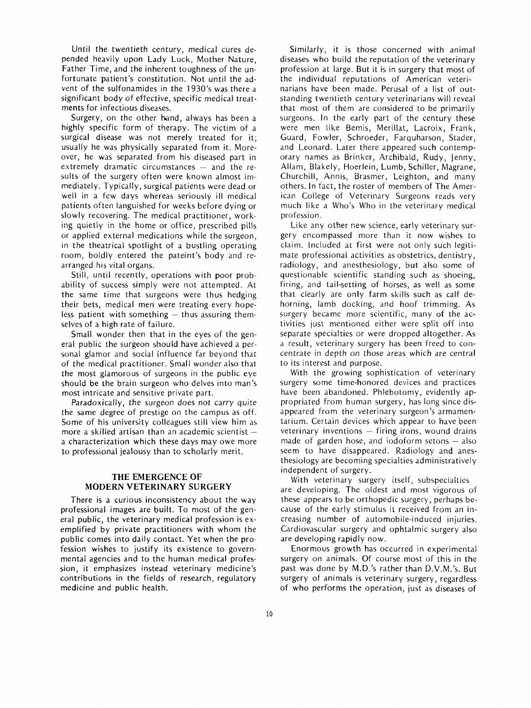Until the twentieth century, medical cures depended heavily upon Lady Luck, Mother Nature, Father Time, and the inherent toughness of the unfortunate 'patient's constitution. Not until the advent of the sulfonamides in the 1930's was there a significant body of effective, specific medical treatments for infectious diseases.

Surgery, on the other hand, always has been a highly specific form of therapy. The victim of a surgical disease was not merely treated for it; usually he was physically separated from it. Moreover, he was separated from his diseased part in extremely dramatic circumstances  $-$  and the results of the surgery often were known almost immediately. Typically, surgical patients were dead or well in a few days whereas seriously ill medical patients often languished for weeks before dying or slowly recovering. The medical practitioner, working quietly in the home or office, prescribed pills or applied external medications while the surgeon, in the theatrical spotlight of a bustling operating room, boldly entered the pateint's body and rearranged his vital organs.

Still, until recently, operations with poor probability of success simply were not attempted. At the same time that surgeons were thus hedging their bets, medical men were treating every hopeless patient with something  $-$  thus assuring themselves of a high rate of failure.

Small wonder then that in the eyes of the general public the surgeon should have achieved a personal glamor and social influence far beyond that of the medical practitioner. Small wonder also that the most glamorous of surgeons in the public eye should be the brain surgeon who delves into man's most intricate and sensitive private part.

Paradoxically, the surgeon does not carry quite the same degree of prestige on the campus as off. Some of his university colleagues still view him as more a skilled artisan than an academic scientist a characterization which these days may owe more to professional jealousy than to scholarly merit.

# **THE EMERGENCE OF MODERN VETERINARY SURGERY**

There is a curious inconsistency about the way professional images are built. To most of the general public, the veterinary medical profession is exemplified by private practitioners with whom the public comes into daily contact. Yet when the profession wishes to justify its existence to governmental agencies and to the human medical profession, it emphasizes instead veterinary medicine's contributions in the fields of research, regulatory medicine and public health.

Similarly, it is those concerned with animal diseases who build the reputation of the veterinary profession at large. But it is in surgery that most of the individual reputations of American veterinarians have been made. Perusal of a list of outstanding twentieth century veterinarians will reveal that most of them are considered to be primarily surgeons. In the early part of the century these were men like Bemis, Merillat, Lacroix, Frank, Guard, Fowler, Schroeder, Farquharson, Stader, and Leonard. Later there appeared such contemporary names as Brinker, Archibald, Rudy, Jenny, Allam, Blakely, Hoerlein, Lumb, Schiller, Magrane, Churchill, Annis, Brasmer, Leighton, and many others. In fact, the roster of members of The American College of Veterinary Surgeons reads very much like a Who's Who in the veterinary medical profession.

Like any other new science, early veterinary surgery encompassed more than it now wishes to claim. Included at first were not only such legitimate professional activities as obstetrics, dentistry, radiology, and anesthesiology, but also some of questionable scientific standing such as shoeing, firing, and tail-setting of horses, as well as some that clearly are only farm skills such as calf dehorning, lamb docking, and hoof trimming. As surgery became more scientific, many of the activities just mentioned either were split off into separate specialties or were dropped altogether. As a result, veterinary surgery has been freed to concentrate in depth on those areas which are central to its interest and purpose.

With the growing sophistication of veterinary surgery some time-honored devices and practices have been abandoned. Phlebotomy, evidently appropriated from human surgery, has long since disappeared from the veterinary surgeon's armamentarium. Certain devices which appear to have been<br>veterinary inventions — firing irons, wound drains veterinary inventions  $-$  firing irons, wound drains made of garden hose, and iodoform setons  $-$  also seem to have disappeared. Radiology and anesthesiology are becoming specialties administratively independent of surgery.

With veterinary surgery itself, subspecialties are developing. The oldest and most vigorous of these appears to be orthopedic surgery, perhaps because of the early stimulus it received from an increasing number of automobile-induced injuries. Cardiovascular surgery and ophtalmic surgery also are developing rapidly now.

Enormous growth has occurred in experimental surgery on animals. Of course most of this in the past was done by M.D.'s rather than D.V.M.'s. But surgery of animals is veterinary surgery, regardless of who performs the operation, just as diseases of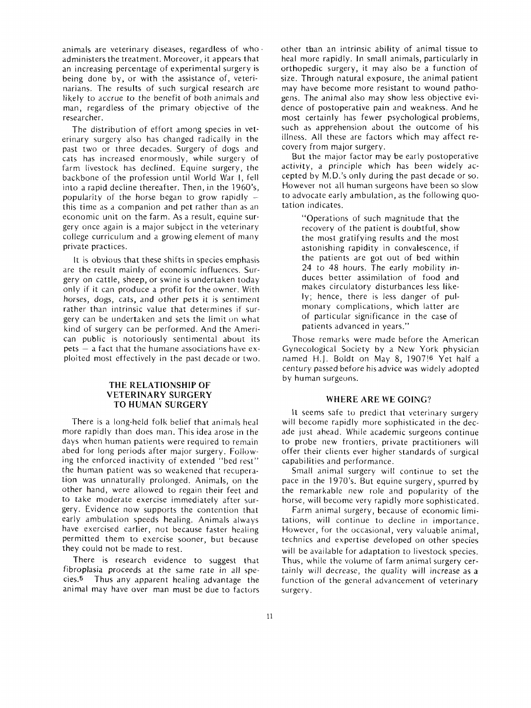animals are veterinary diseases, regardless of who. administers the treatment. Moreover, it appears that an increasing percentage of experimental surgery is being done by, or with the assistance of, veterinarians. The results of such surgical research are likely to accrue to the benefit of both animals and man, regardless of the primary objective of the researcher.

The distribution of effort among species in veterinary surgery also has changed radically in the past two or three decades. Surgery of dogs and cats has increased enormously, while surgery of farm livestock has declined. Equine surgery, the backbone of the profession until World War I, fell into a rapid decline thereafter. Then, in the 1960's, popularity of the horse began to grow rapidly  $$ this time as a companion and pet rather than as an economic unit on the farm. As a result, equine surgery once again is a major subject in the veterinary college curriculum and a growing element of many private practices.

It is obvious that these shifts in species emphasis are the result mainly of economic influences. Surgery on cattle, sheep, or swine is undertaken today only if it can produce a profit for the owner. With horses, dogs, cats, and other pets it is sentiment rather than intrinsic value that determines if surgery can be undertaken and sets the limit on what kind of surgery can be performed. And the American public is notoriously sentimental about its  $pets - a$  fact that the humane associations have exploited most effectively in the past decade or two.

# **THE RELATIONSHIP OF VETERINARY SURGERY TO HUMAN SURGERY**

There is a long-held folk belief that animals heal more rapidly than does man. This idea arose in the days when human patients were required to remain abed for long periods after major surgery. Following the enforced inactivity of extended "bed rest" the human patient was so weakened that recuperation was unnaturally prolonged. Animals, on the other hand, were allowed to regain their feet and to take moderate exercise immediately after surgery. Evidence now supports the contention that early ambulation speeds healing. Animals always have exercised earlier, not because faster healing permitted them to exercise sooner, but because they could not be made to rest.

There is research evidence to suggest that fibroplasia proceeds at the same rate in all species.5 Thus any apparent healing advantage the animal may have over man must be due to factors other than an intrinsic ability of animal tissue to heal more rapidly. In small animals, particularly in orthopedic surgery, it may also be a function of size. Through natural exposure, the animal patient may have become more resistant to wound pathogens. The animal also may show less objective evidence of postoperative pain and weakness. And he most certainly has fewer psychological problems, such as apprehension about the outcome of his illness. **All** these are factors which may affect recovery from major surgery.

But the major factor may be early postoperative activity, a principle which has been widely accepted by M.D.'s only during the past decade or so. However not all human surgeons have been so slow to advocate early ambulation, as the following quotation indicates.

"Operations of such magnitude that the recovery of the patient is doubtful, show the most gratifying results and the most astonishing rapidity in convalescence, if the patients are got out of bed within 24 to 48 hours. The early mobility induces better assimilation of food and makes circulatory disturbances less likely; hence, there is less danger of pulmonary complications, which latter are of particular significance in the case of patients advanced in years."

Those remarks were made before the American Gynecological Society by a New York physician named H.J. Boldt on May 8, 1907!6 Yet half a century passed before his advice was widely adopted by human surgeons.

## **WHERE ARE WE GOING?**

It seems safe to predict that veterinary surgery will become rapidly more sophisticated in the decade just ahead. While academic surgeons continue to probe new frontiers, private practitioners will offer their clients ever higher standards of surgical capabilities and performance.

Small animal surgery will continue to set the pace in the 1970's. But equine surgery, spurred by the remarkable new role and popularity of the horse, will become very rapidly more sophisticated.

Farm animal surgery, because of economic limitations, will continue to decline in importance. However, for the occasional, very valuable animal, technics and expertise developed on other species will be available for adaptation to livestock species. Thus, while the volume of farm animal surgery certainly will decrease, the quality will increase as a function of the general advancement of veterinary surgery.